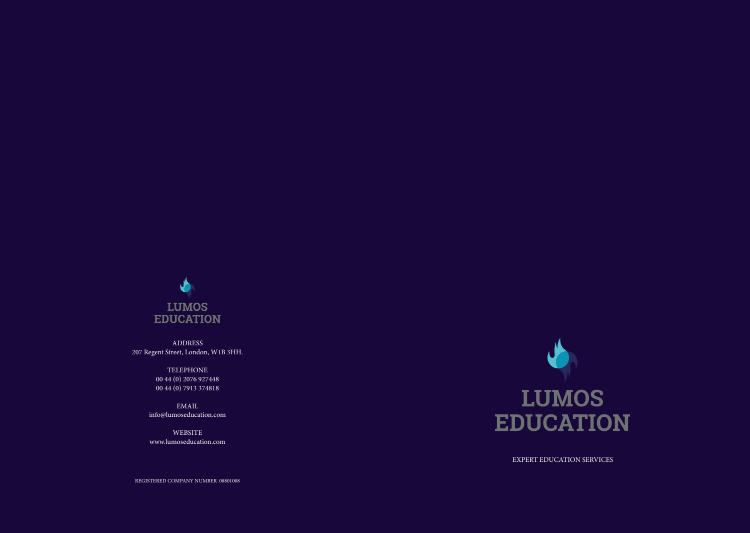

ADDRESS 207 Regent Street, London, W1B 3HH.

> TELEPHONE 00 44 (0) 2076 927448 00 44 (0) 7913 374818

EMAIL info@lumoseducation.com

WEBSITE www.lumoseducation.com



EXPERT EDUCATION SERVICES

REGISTERED COMPANY NUMBER 08801008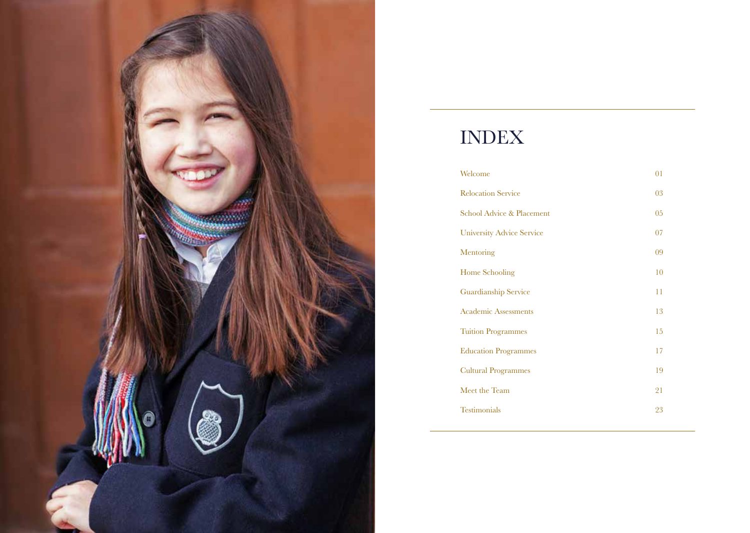

# INDEX

| Welcome                          | 01 |
|----------------------------------|----|
| <b>Relocation Service</b>        | 03 |
| School Advice & Placement        | 05 |
| <b>University Advice Service</b> | 07 |
| Mentoring                        | 09 |
| Home Schooling                   | 10 |
| Guardianship Service             | 11 |
| <b>Academic Assessments</b>      | 13 |
| <b>Tuition Programmes</b>        | 15 |
| <b>Education Programmes</b>      | 17 |
| <b>Cultural Programmes</b>       | 19 |
| Meet the Team                    | 21 |
| <b>Testimonials</b>              | 23 |
|                                  |    |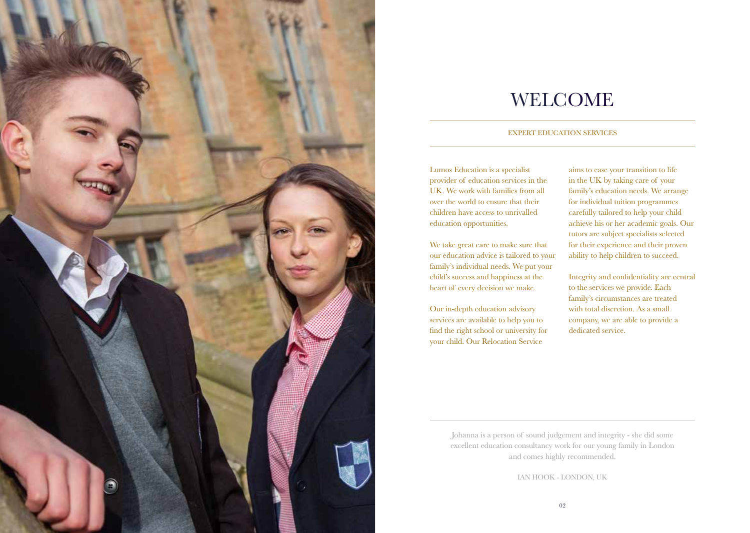

### WELCOME

#### EXPERT EDUCATION SERVICES

Lumos Education is a specialist provider of education services in the UK. We work with families from all over the world to ensure that their children have access to unrivalled education opportunities.

We take great care to make sure that our education advice is tailored to your family's individual needs. We put your child's success and happiness at the heart of every decision we make.

Our in-depth education advisory services are available to help you to find the right school or university for your child. Our Relocation Service

aims to ease your transition to life in the UK by taking care of your family's education needs. We arrange for individual tuition programmes carefully tailored to help your child achieve his or her academic goals. Our tutors are subject specialists selected for their experience and their proven ability to help children to succeed.

Integrity and confidentiality are central to the services we provide. Each family's circumstances are treated with total discretion. As a small company, we are able to provide a dedicated service.

Johanna is a person of sound judgement and integrity - she did some excellent education consultancy work for our young family in London and comes highly recommended.

IAN HOOK - LONDON, UK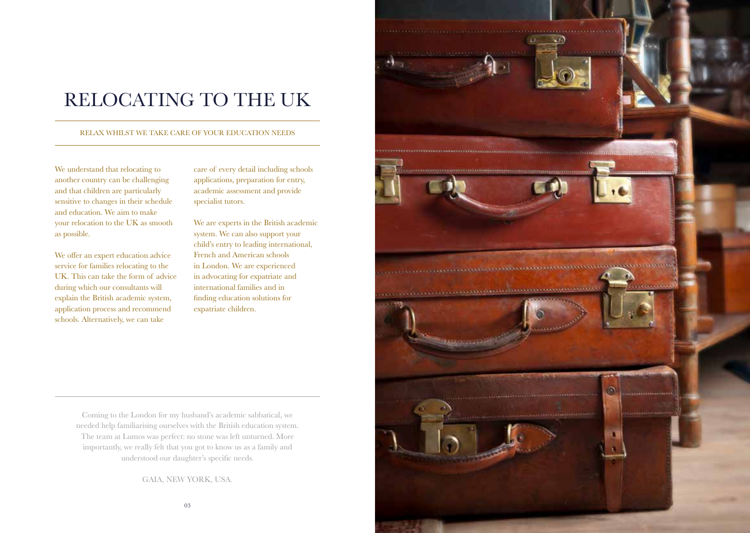### RELOCATING TO THE UK

#### RELAX WHILST WE TAKE CARE OF YOUR EDUCATION NEEDS

We understand that relocating to another country can be challenging and that children are particularly sensitive to changes in their schedule and education. We aim to make your relocation to the UK as smooth as possible.

We offer an expert education advice service for families relocating to the UK. This can take the form of advice during which our consultants will explain the British academic system, application process and recommend schools. Alternatively, we can take

care of every detail including schools applications, preparation for entry, academic assessment and provide specialist tutors.

We are experts in the British academic system. We can also support your child's entry to leading international, French and American schools in London. We are experienced in advocating for expatriate and international families and in finding education solutions for expatriate children.

Coming to the London for my husband's academic sabbatical, we needed help familiarising ourselves with the British education system. The team at Lumos was perfect: no stone was left unturned. More importantly, we really felt that you got to know us as a family and understood our daughter's specific needs.

GAIA, NEW YORK, USA.

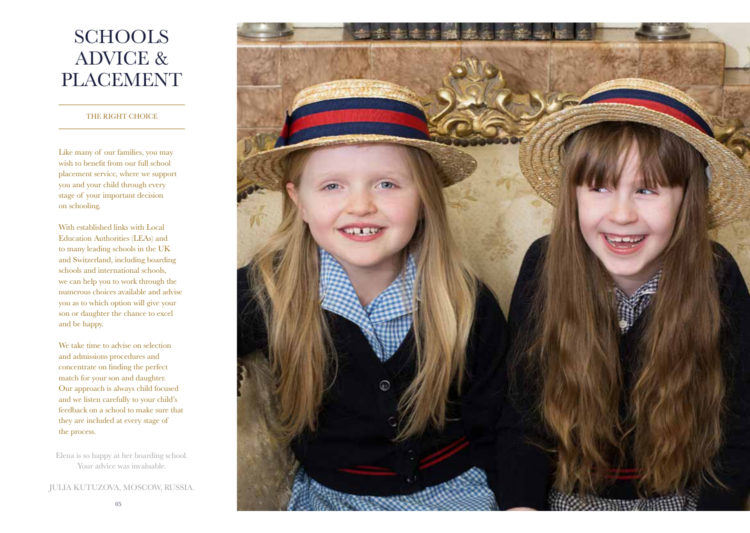## **SCHOOLS** ADVICE & PLACEMENT

#### THE RIGHT CHOICE

Like many of our families, you may wish to benefit from our full school placement service, where we support you and your child through every stage of your important decision on schooling.

With established links with Local Education Authorities (LEAs) and to many leading schools in the UK and Switzerland, including boarding schools and international schools, we can help you to work through the numerous choices available and advise you as to which option will give your son or daughter the chance to excel and be happy.

We take time to advise on selection and admissions procedures and concentrate on finding the perfect match for your son and daughter. Our approach is always child focused and we listen carefully to your child's feedback on a school to make sure that they are included at every stage of the process.

Elena is so happy at her boarding school. Your advice was invaluable.

JULIA KUTUZOVA, MOSCOW, RUSSIA.

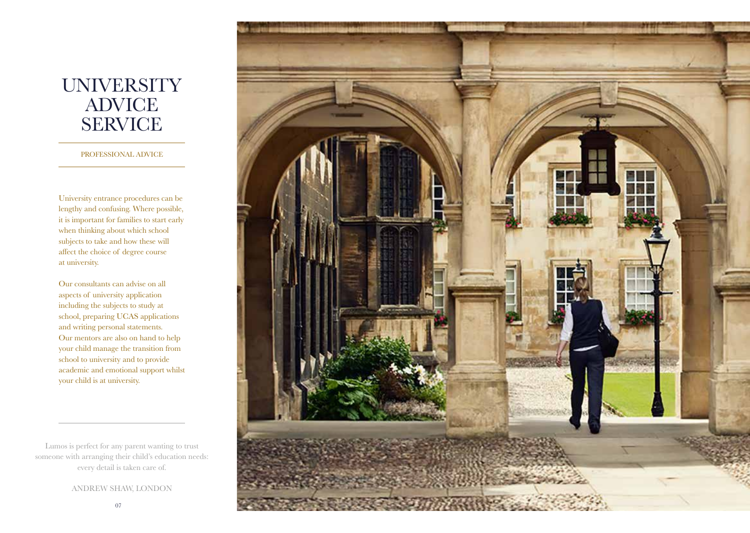### **UNIVERSITY** ADVICE SERVICE

PROFESSIONAL ADVICE

University entrance procedures can be lengthy and confusing. Where possible, it is important for families to start early when thinking about which school subjects to take and how these will affect the choice of degree course at university.

Our consultants can advise on all aspects of university application including the subjects to study at school, preparing UCAS applications and writing personal statements. Our mentors are also on hand to help your child manage the transition from school to university and to provide academic and emotional support whilst your child is at university.

Lumos is perfect for any parent wanting to trust someone with arranging their child's education needs: every detail is taken care of.

ANDREW SHAW, LONDON

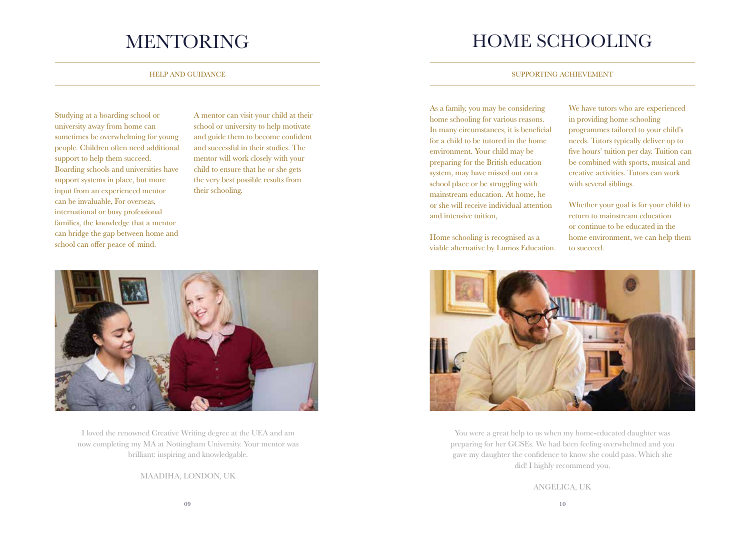Studying at a boarding school or university away from home can sometimes be overwhelming for young people. Children often need additional support to help them succeed. Boarding schools and universities have support systems in place, but more input from an experienced mentor can be invaluable, For overseas, international or busy professional families, the knowledge that a mentor can bridge the gap between home and school can offer peace of mind.

A mentor can visit your child at their school or university to help motivate and guide them to become confident and successful in their studies. The mentor will work closely with your child to ensure that he or she gets the very best possible results from their schooling.



I loved the renowned Creative Writing degree at the UEA and am now completing my MA at Nottingham University. Your mentor was brilliant: inspiring and knowledgable.

MAADIHA, LONDON, UK

### MENTORING HOME SCHOOLING

#### HELP AND GUIDANCE SUPPORTING ACHIEVEMENT

As a family, you may be considering home schooling for various reasons. In many circumstances, it is beneficial for a child to be tutored in the home environment. Your child may be preparing for the British education system, may have missed out on a school place or be struggling with mainstream education. At home, he or she will receive individual attention and intensive tuition,

Home schooling is recognised as a viable alternative by Lumos Education.

We have tutors who are experienced in providing home schooling programmes tailored to your child's needs. Tutors typically deliver up to five hours' tuition per day. Tuition can be combined with sports, musical and creative activities. Tutors can work with several siblings.

Whether your goal is for your child to return to mainstream education or continue to be educated in the home environment, we can help them to succeed.



You were a great help to us when my home-educated daughter was preparing for her GCSEs. We had been feeling overwhelmed and you gave my daughter the confidence to know she could pass. Which she did! I highly recommend you.

ANGELICA, UK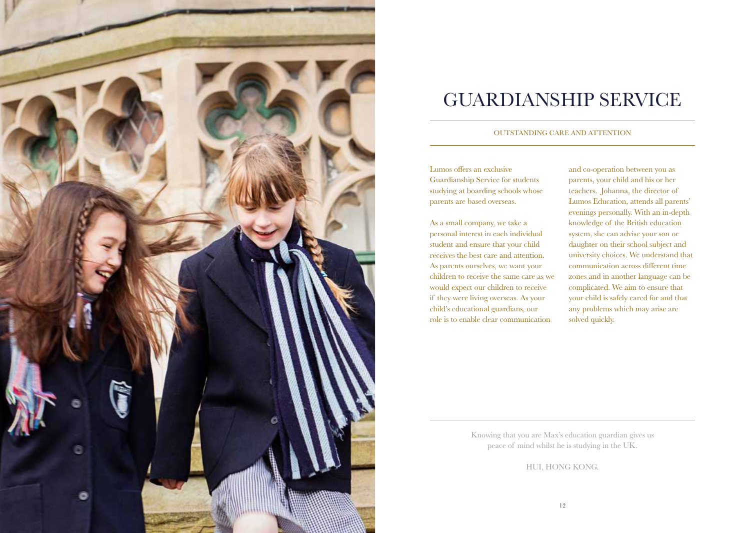

### GUARDIANSHIP SERVICE

#### OUTSTANDING CARE AND ATTENTION

Lumos offers an exclusive Guardianship Service for students studying at boarding schools whose parents are based overseas.

As a small company, we take a personal interest in each individual student and ensure that your child receives the best care and attention. As parents ourselves, we want your children to receive the same care as we would expect our children to receive if they were living overseas. As your child's educational guardians, our role is to enable clear communication

and co-operation between you as parents, your child and his or her teachers. Johanna, the director of Lumos Education, attends all parents' evenings personally. With an in-depth knowledge of the British education system, she can advise your son or daughter on their school subject and university choices. We understand that communication across different time zones and in another language can be complicated. We aim to ensure that your child is safely cared for and that any problems which may arise are solved quickly.

Knowing that you are Max's education guardian gives us peace of mind whilst he is studying in the UK.

HUI, HONG KONG.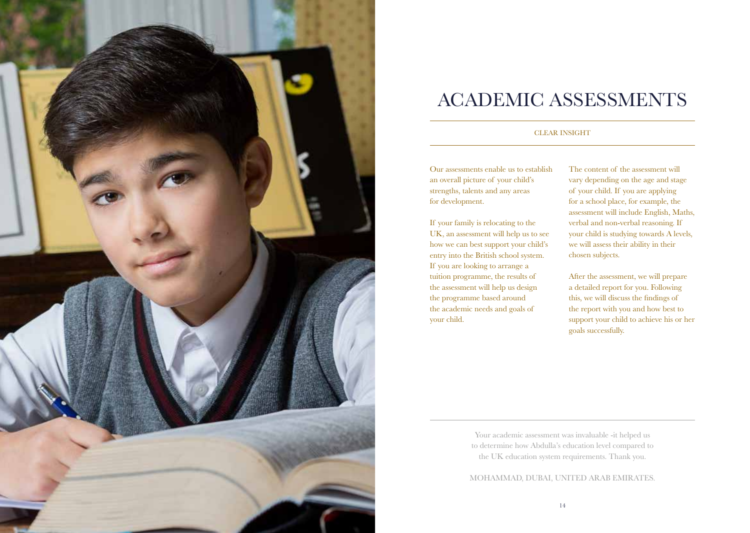

### ACADEMIC ASSESSMENTS

#### CLEAR INSIGHT

Our assessments enable us to establish an overall picture of your child's strengths, talents and any areas for development.

If your family is relocating to the UK, an assessment will help us to see how we can best support your child's entry into the British school system. If you are looking to arrange a tuition programme, the results of the assessment will help us design the programme based around the academic needs and goals of your child.

The content of the assessment will vary depending on the age and stage of your child. If you are applying for a school place, for example, the assessment will include English, Maths, verbal and non-verbal reasoning. If your child is studying towards A levels, we will assess their ability in their chosen subjects.

After the assessment, we will prepare a detailed report for you. Following this, we will discuss the findings of the report with you and how best to support your child to achieve his or her goals successfully.

Your academic assessment was invaluable -it helped us to determine how Abdulla's education level compared to the UK education system requirements. Thank you.

MOHAMMAD, DUBAI, UNITED ARAB EMIRATES.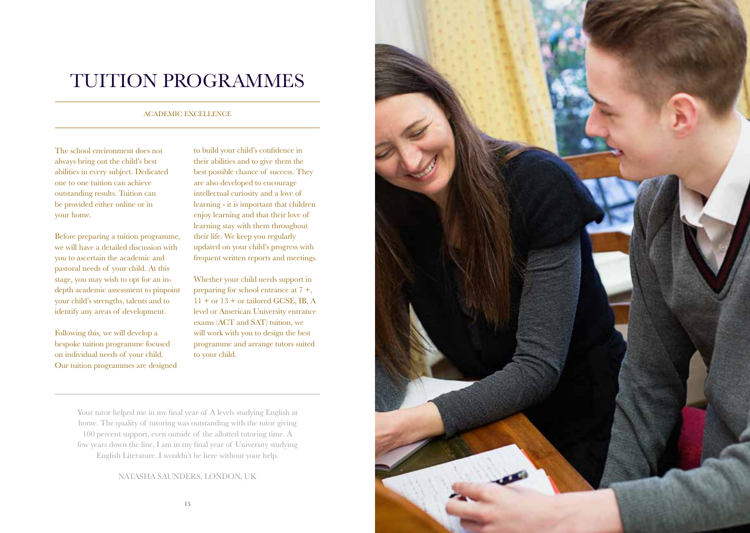### TUITION PROGRAMMES

#### ACADEMIC EXCELLENCE

The school environment does not always bring out the child's best abilities in every subject. Dedicated one to one tuition can achieve outstanding results. Tuition can be provided either online or in your home.

Before preparing a tuition programme, we will have a detailed discussion with you to ascertain the academic and pastoral needs of your child. At this stage, you may wish to opt for an indepth academic assessment to pinpoint your child's strengths, talents and to identify any areas of development.

Following this, we will develop a bespoke tuition programme focused on individual needs of your child. Our tuition programmes are designed to build your child's confidence in their abilities and to give them the best possible chance of success. They are also developed to encourage intellectual curiosity and a love of learning - it is important that children enjoy learning and that their love of learning stay with them throughout their life. We keep you regularly updated on your child's progress with frequent written reports and meetings.

Whether your child needs support in preparing for school entrance at 7 +, 11 + or 13 + or tailored GCSE, IB, A level or American University entrance exams (ACT and SAT) tuition, we will work with you to design the best programme and arrange tutors suited to your child.

Your tutor helped me in my final year of A levels studying English at home. The quality of tutoring was outstanding with the tutor giving 100 percent support, even outside of the allotted tutoring time. A few years down the line, I am in my final year of University studying English Literature. I wouldn't be here without your help.

NATASHA SAUNDERS, LONDON, UK

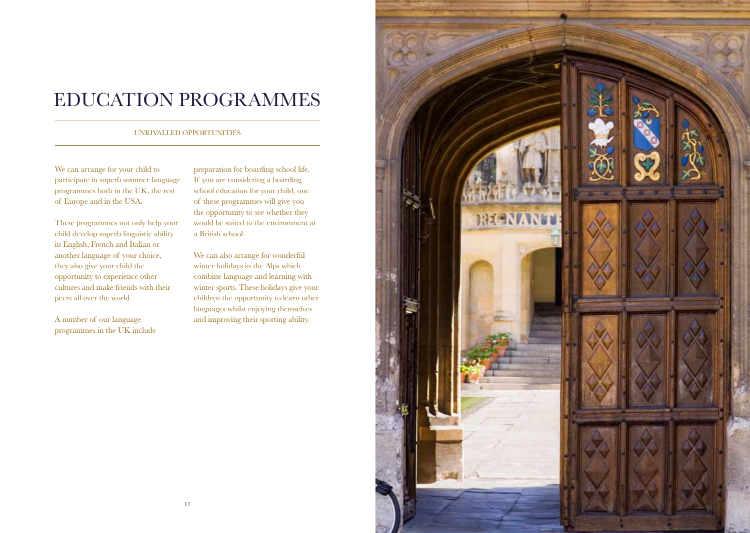### EDUCATION PROGRAMMES

#### UNRIVALLED OPPORTUNITIES

We can arrange for your child to participate in superb summer language programmes both in the UK, the rest of Europe and in the USA.

These programmes not only help your child develop superb linguistic ability in English, French and Italian or another language of your choice, they also give your child the opportunity to experience other cultures and make friends with their peers all over the world.

A number of our language programmes in the UK include preparation for boarding school life. If you are considering a boarding school education for your child, one of these programmes will give you the opportunity to see whether they would be suited to the environment at a British school.

We can also arrange for wonderful winter holidays in the Alps which combine language and learning with winter sports. These holidays give your children the opportunity to learn other languages whilst enjoying themselves and improving their sporting ability.

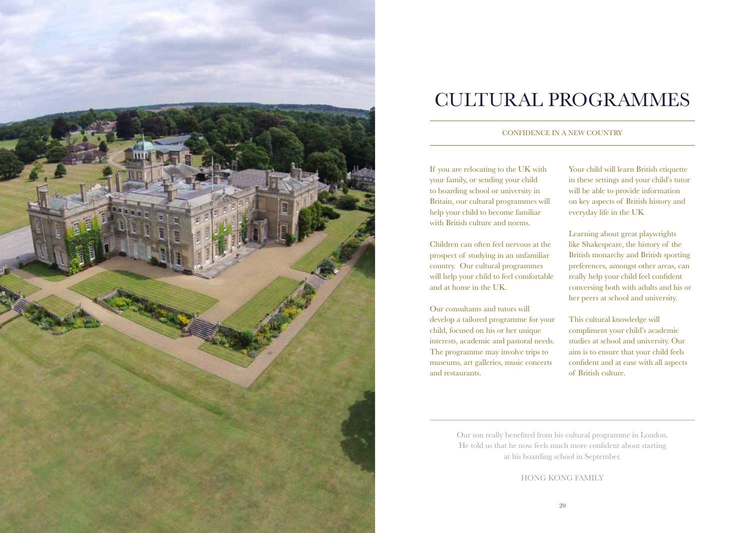

## CULTURAL PROGRAMMES

#### CONFIDENCE IN A NEW COUNTRY

If you are relocating to the UK with your family, or sending your child to boarding school or university in Britain, our cultural programmes will help your child to become familiar with British culture and norms.

Children can often feel nervous at the prospect of studying in an unfamiliar country. Our cultural programmes will help your child to feel comfortable and at home in the UK.

Our consultants and tutors will develop a tailored programme for your child, focused on his or her unique interests, academic and pastoral needs. The programme may involve trips to museums, art galleries, music concerts and restaurants.

Your child will learn British etiquette in these settings and your child's tutor will be able to provide information on key aspects of British history and everyday life in the UK

Learning about great playwrights like Shakespeare, the history of the British monarchy and British sporting preferences, amongst other areas, can really help your child feel confident conversing both with adults and his or her peers at school and university.

This cultural knowledge will compliment your child's academic studies at school and university. Our aim is to ensure that your child feels confident and at ease with all aspects of British culture.

Our son really benefited from his cultural programme in London. He told us that he now feels much more confident about starting at his boarding school in September.

HONG KONG FAMILY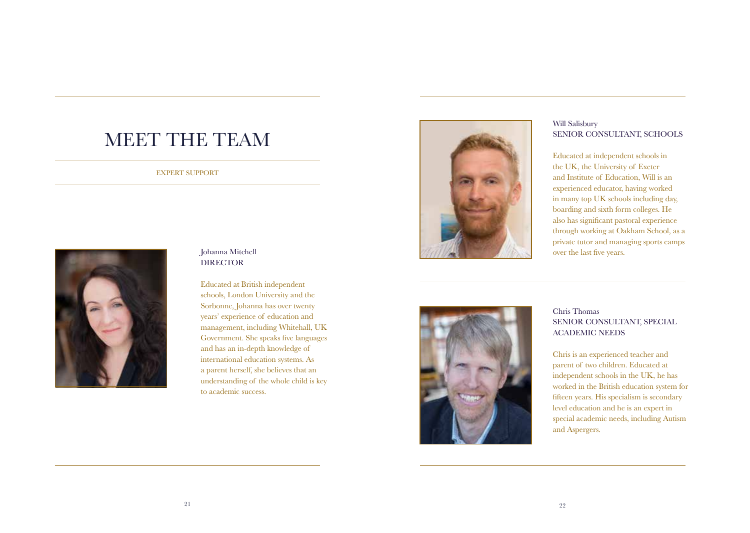### MEET THE TEAM

#### EXPERT SUPPORT



### Johanna Mitchell DIRECTOR

Educated at British independent schools, London University and the Sorbonne, Johanna has over twenty years' experience of education and management, including Whitehall, UK Government. She speaks five languages and has an in-depth knowledge of international education systems. As a parent herself, she believes that an understanding of the whole child is key to academic success.



### Will Salisbury SENIOR CONSULTANT, SCHOOLS

Educated at independent schools in the UK, the University of Exeter and Institute of Education, Will is an experienced educator, having worked in many top UK schools including day, boarding and sixth form colleges. He also has significant pastoral experience through working at Oakham School, as a private tutor and managing sports camps over the last five years.



### Chris Thomas SENIOR CONSULTANT, SPECIAL ACADEMIC NEEDS

Chris is an experienced teacher and parent of two children. Educated at independent schools in the UK, he has worked in the British education system for fifteen years. His specialism is secondary level education and he is an expert in special academic needs, including Autism and Aspergers.